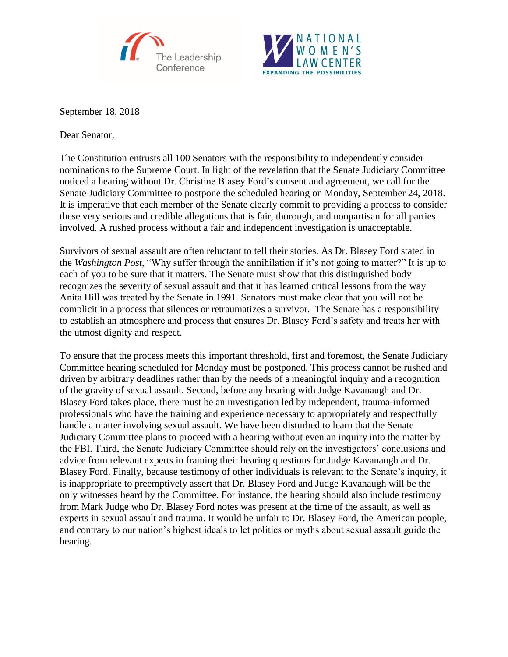



September 18, 2018

Dear Senator,

The Constitution entrusts all 100 Senators with the responsibility to independently consider nominations to the Supreme Court. In light of the revelation that the Senate Judiciary Committee noticed a hearing without Dr. Christine Blasey Ford's consent and agreement, we call for the Senate Judiciary Committee to postpone the scheduled hearing on Monday, September 24, 2018. It is imperative that each member of the Senate clearly commit to providing a process to consider these very serious and credible allegations that is fair, thorough, and nonpartisan for all parties involved. A rushed process without a fair and independent investigation is unacceptable.

Survivors of sexual assault are often reluctant to tell their stories. As Dr. Blasey Ford stated in the *Washington Post*, "Why suffer through the annihilation if it's not going to matter?" It is up to each of you to be sure that it matters. The Senate must show that this distinguished body recognizes the severity of sexual assault and that it has learned critical lessons from the way Anita Hill was treated by the Senate in 1991. Senators must make clear that you will not be complicit in a process that silences or retraumatizes a survivor. The Senate has a responsibility to establish an atmosphere and process that ensures Dr. Blasey Ford's safety and treats her with the utmost dignity and respect.

To ensure that the process meets this important threshold, first and foremost, the Senate Judiciary Committee hearing scheduled for Monday must be postponed. This process cannot be rushed and driven by arbitrary deadlines rather than by the needs of a meaningful inquiry and a recognition of the gravity of sexual assault. Second, before any hearing with Judge Kavanaugh and Dr. Blasey Ford takes place, there must be an investigation led by independent, trauma-informed professionals who have the training and experience necessary to appropriately and respectfully handle a matter involving sexual assault. We have been disturbed to learn that the Senate Judiciary Committee plans to proceed with a hearing without even an inquiry into the matter by the FBI. Third, the Senate Judiciary Committee should rely on the investigators' conclusions and advice from relevant experts in framing their hearing questions for Judge Kavanaugh and Dr. Blasey Ford. Finally, because testimony of other individuals is relevant to the Senate's inquiry, it is inappropriate to preemptively assert that Dr. Blasey Ford and Judge Kavanaugh will be the only witnesses heard by the Committee. For instance, the hearing should also include testimony from Mark Judge who Dr. Blasey Ford notes was present at the time of the assault, as well as experts in sexual assault and trauma. It would be unfair to Dr. Blasey Ford, the American people, and contrary to our nation's highest ideals to let politics or myths about sexual assault guide the hearing.